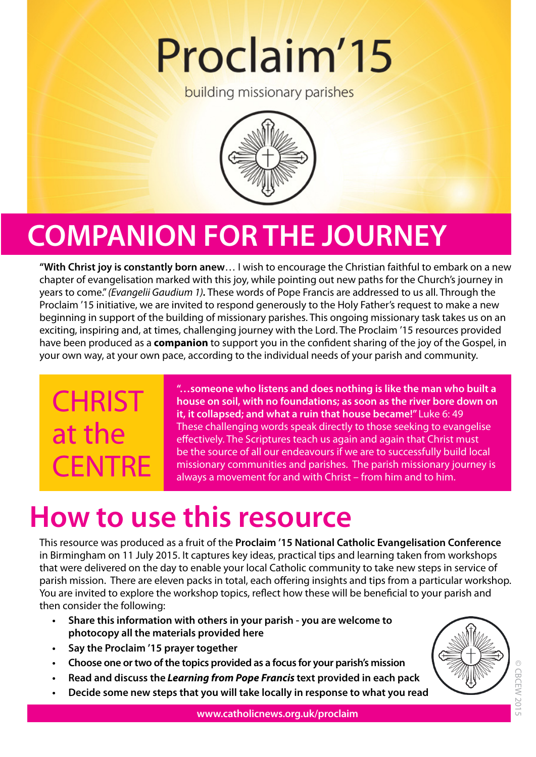# Proclaim'15

**building missionary parishes** 



## **COMPANION FOR THE JOURNEY**

**"With Christ joy is constantly born anew**… I wish to encourage the Christian faithful to embark on a new chapter of evangelisation marked with this joy, while pointing out new paths for the Church's journey in years to come." *(Evangelii Gaudium 1).* These words of Pope Francis are addressed to us all. Through the Proclaim '15 initiative, we are invited to respond generously to the Holy Father's request to make a new beginning in support of the building of missionary parishes. This ongoing missionary task takes us on an exciting, inspiring and, at times, challenging journey with the Lord. The Proclaim '15 resources provided have been produced as a **companion** to support you in the confident sharing of the joy of the Gospel, in your own way, at your own pace, according to the individual needs of your parish and community.

## **CHRIST** at the **CENTRE**

**"…someone who listens and does nothing is like the man who built a house on soil, with no foundations; as soon as the river bore down on it, it collapsed; and what a ruin that house became!"** Luke 6: 49 These challenging words speak directly to those seeking to evangelise effectively. The Scriptures teach us again and again that Christ must be the source of all our endeavours if we are to successfully build local missionary communities and parishes. The parish missionary journey is always a movement for and with Christ – from him and to him.

## **How to use this resource**

This resource was produced as a fruit of the **Proclaim '15 National Catholic Evangelisation Conference** in Birmingham on 11 July 2015. It captures key ideas, practical tips and learning taken from workshops that were delivered on the day to enable your local Catholic community to take new steps in service of parish mission. There are eleven packs in total, each offering insights and tips from a particular workshop. You are invited to explore the workshop topics, reflect how these will be beneficial to your parish and then consider the following:

- **• Share this information with others in your parish you are welcome to photocopy all the materials provided here**
- **• Say the Proclaim '15 prayer together**
- **• Choose one or two of the topics provided as a focus for your parish's mission**
- **• Read and discuss the** *Learning from Pope Francis* **text provided in each pack**
- **• Decide some new steps that you will take locally in response to what you read**

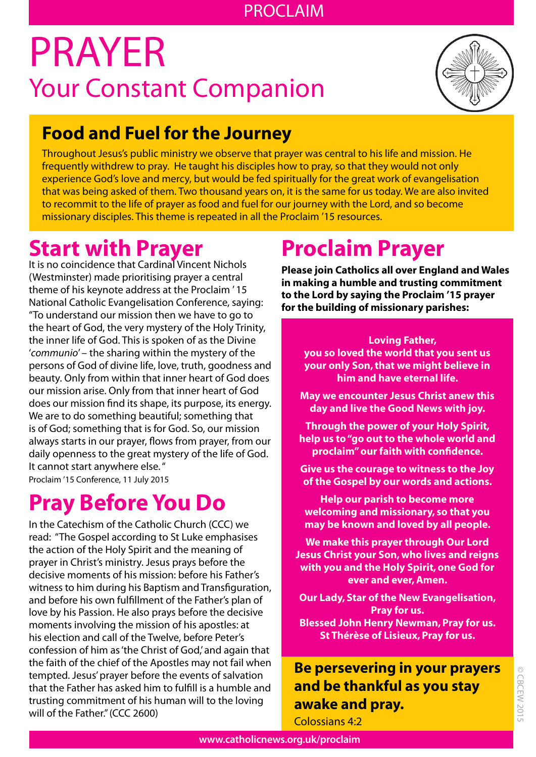### PROCLAIM

## PRAYER Your Constant Companion



### **Food and Fuel for the Journey**

Throughout Jesus's public ministry we observe that prayer was central to his life and mission. He frequently withdrew to pray. He taught his disciples how to pray, so that they would not only experience God's love and mercy, but would be fed spiritually for the great work of evangelisation that was being asked of them. Two thousand years on, it is the same for us today. We are also invited to recommit to the life of prayer as food and fuel for our journey with the Lord, and so become missionary disciples. This theme is repeated in all the Proclaim '15 resources.

## **Start with Prayer**

It is no coincidence that Cardinal Vincent Nichols (Westminster) made prioritising prayer a central theme of his keynote address at the Proclaim ' 15 National Catholic Evangelisation Conference, saying: "To understand our mission then we have to go to the heart of God, the very mystery of the Holy Trinity, the inner life of God. This is spoken of as the Divine '*communio*' – the sharing within the mystery of the persons of God of divine life, love, truth, goodness and beauty. Only from within that inner heart of God does our mission arise. Only from that inner heart of God does our mission find its shape, its purpose, its energy. We are to do something beautiful; something that is of God; something that is for God. So, our mission always starts in our prayer, flows from prayer, from our daily openness to the great mystery of the life of God. It cannot start anywhere else. " Proclaim '15 Conference, 11 July 2015

## **Pray Before You Do**

In the Catechism of the Catholic Church (CCC) we read: "The Gospel according to St Luke emphasises the action of the Holy Spirit and the meaning of prayer in Christ's ministry. Jesus prays before the decisive moments of his mission: before his Father's witness to him during his Baptism and Transfiguration, and before his own fulfillment of the Father's plan of love by his Passion. He also prays before the decisive moments involving the mission of his apostles: at his election and call of the Twelve, before Peter's confession of him as 'the Christ of God,' and again that the faith of the chief of the Apostles may not fail when tempted. Jesus' prayer before the events of salvation that the Father has asked him to fulfill is a humble and trusting commitment of his human will to the loving will of the Father." (CCC 2600)

## **Proclaim Prayer**

**Please join Catholics all over England and Wales in making a humble and trusting commitment to the Lord by saying the Proclaim '15 prayer for the building of missionary parishes:**

### **Loving Father,**

**you so loved the world that you sent us your only Son, that we might believe in him and have eternal life.**

**May we encounter Jesus Christ anew this day and live the Good News with joy.**

**Through the power of your Holy Spirit, help us to "go out to the whole world and proclaim" our faith with confidence.**

**Give us the courage to witness to the Joy of the Gospel by our words and actions.**

**Help our parish to become more welcoming and missionary, so that you may be known and loved by all people.**

**We make this prayer through Our Lord Jesus Christ your Son, who lives and reigns with you and the Holy Spirit, one God for ever and ever, Amen.**

**Our Lady, Star of the New Evangelisation, Pray for us. Blessed John Henry Newman, Pray for us. St Thérèse of Lisieux, Pray for us.**

### **Be persevering in your prayers and be thankful as you stay awake and pray.**

Colossians 4:2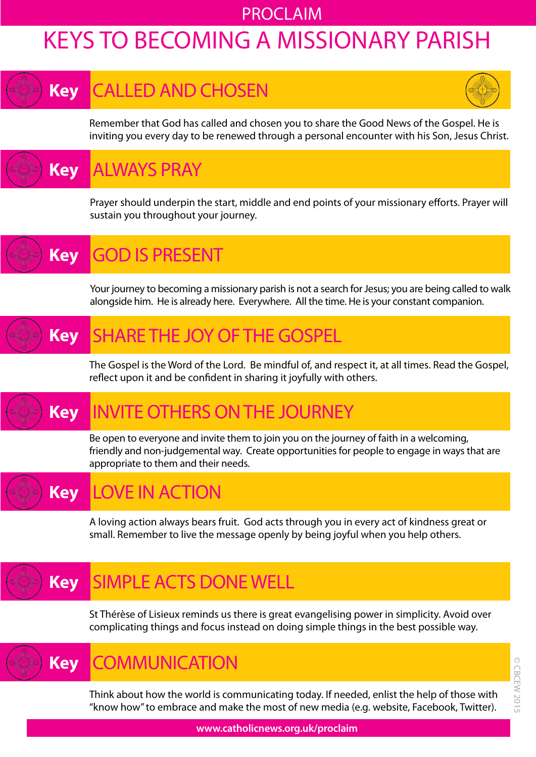### PROCLAIM

## KEYS TO BECOMING A MISSIONARY PARISH

### CALLED AND CHOSEN **Key**



Remember that God has called and chosen you to share the Good News of the Gospel. He is inviting you every day to be renewed through a personal encounter with his Son, Jesus Christ.

ALWAYS PRAY **Key**

> Prayer should underpin the start, middle and end points of your missionary efforts. Prayer will sustain you throughout your journey.

GOD IS PRESENT **Key**

> Your journey to becoming a missionary parish is not a search for Jesus; you are being called to walk alongside him. He is already here. Everywhere. All the time. He is your constant companion.

### SHARE THE JOY OF THE GOSPEL **Key**

The Gospel is the Word of the Lord. Be mindful of, and respect it, at all times. Read the Gospel, reflect upon it and be confident in sharing it joyfully with others.

#### INVITE OTHERS ON THE JOURNEY **Key**

Be open to everyone and invite them to join you on the journey of faith in a welcoming, friendly and non-judgemental way. Create opportunities for people to engage in ways that are appropriate to them and their needs.

#### LOVE IN ACTION **Key**

A loving action always bears fruit. God acts through you in every act of kindness great or small. Remember to live the message openly by being joyful when you help others.

#### SIMPLE ACTS DONE WELL **Key**

St Thérèse of Lisieux reminds us there is great evangelising power in simplicity. Avoid over complicating things and focus instead on doing simple things in the best possible way.

**COMMUNICATION Key**

> Think about how the world is communicating today. If needed, enlist the help of those with "know how" to embrace and make the most of new media (e.g. website, Facebook, Twitter).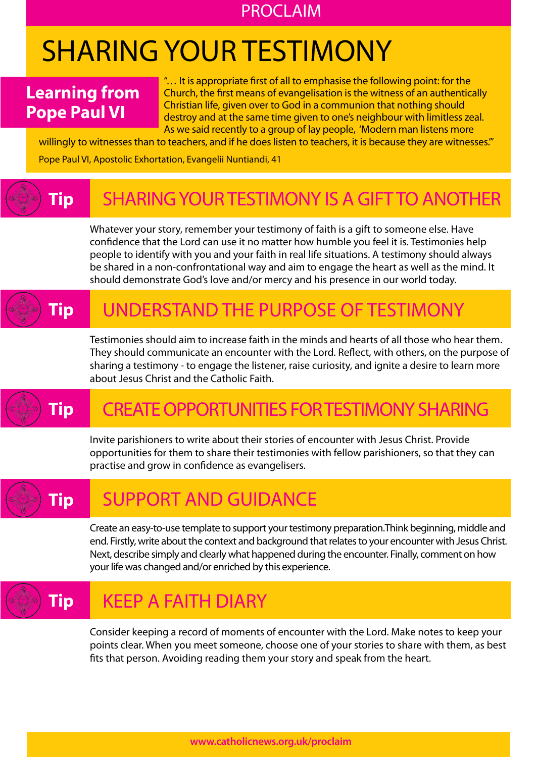### PROCLAIM

## SHARING YOUR TESTIMONY

### **Learning from Pope Paul VI**

"… It is appropriate first of all to emphasise the following point: for the Church, the first means of evangelisation is the witness of an authentically Christian life, given over to God in a communion that nothing should destroy and at the same time given to one's neighbour with limitless zeal. As we said recently to a group of lay people, 'Modern man listens more

willingly to witnesses than to teachers, and if he does listen to teachers, it is because they are witnesses." Pope Paul VI, Apostolic Exhortation, Evangelii Nuntiandi, 41

#### SHARING YOUR TESTIMONY IS A GIFT TO ANOTHER **Tip**

Whatever your story, remember your testimony of faith is a gift to someone else. Have confidence that the Lord can use it no matter how humble you feel it is. Testimonies help people to identify with you and your faith in real life situations. A testimony should always be shared in a non-confrontational way and aim to engage the heart as well as the mind. It should demonstrate God's love and/or mercy and his presence in our world today.

#### UNDERSTAND THE PURPOSE OF TESTIMONY **Tip**

Testimonies should aim to increase faith in the minds and hearts of all those who hear them. They should communicate an encounter with the Lord. Reflect, with others, on the purpose of sharing a testimony - to engage the listener, raise curiosity, and ignite a desire to learn more about Jesus Christ and the Catholic Faith.

## **Tip**

## CREATE OPPORTUNITIES FOR TESTIMONY SHARING

Invite parishioners to write about their stories of encounter with Jesus Christ. Provide opportunities for them to share their testimonies with fellow parishioners, so that they can practise and grow in confidence as evangelisers.

## **Tip**

### SUPPORT AND GUIDANCE

Create an easy-to-use template to support your testimony preparation.Think beginning, middle and end. Firstly, write about the context and background that relates to your encounter with Jesus Christ. Next, describe simply and clearly what happened during the encounter. Finally, comment on how your life was changed and/or enriched by this experience.

### **Tip** KEEP A FAITH DIARY

Consider keeping a record of moments of encounter with the Lord. Make notes to keep your points clear. When you meet someone, choose one of your stories to share with them, as best fits that person. Avoiding reading them your story and speak from the heart.